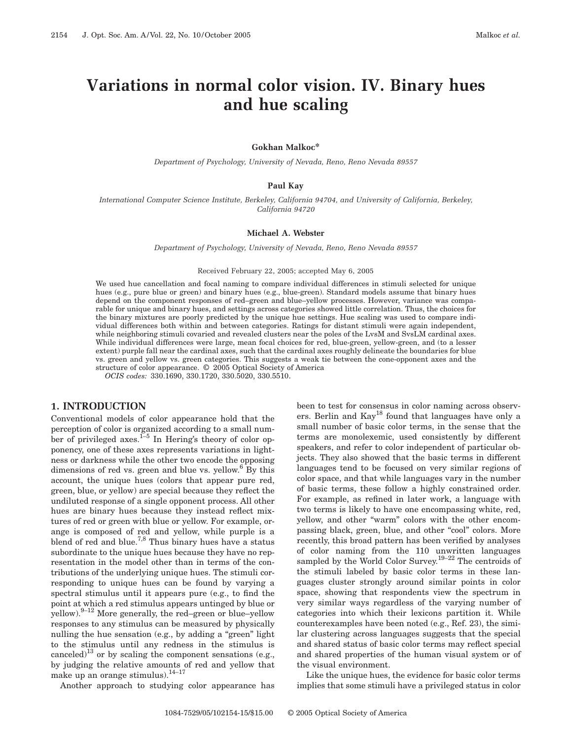# **Variations in normal color vision. IV. Binary hues and hue scaling**

#### **Gokhan Malkoc\***

*Department of Psychology, University of Nevada, Reno, Reno Nevada 89557*

## **Paul Kay**

*International Computer Science Institute, Berkeley, California 94704, and University of California, Berkeley, California 94720*

#### **Michael A. Webster**

*Department of Psychology, University of Nevada, Reno, Reno Nevada 89557*

#### Received February 22, 2005; accepted May 6, 2005

We used hue cancellation and focal naming to compare individual differences in stimuli selected for unique hues (e.g., pure blue or green) and binary hues (e.g., blue-green). Standard models assume that binary hues depend on the component responses of red–green and blue–yellow processes. However, variance was comparable for unique and binary hues, and settings across categories showed little correlation. Thus, the choices for the binary mixtures are poorly predicted by the unique hue settings. Hue scaling was used to compare individual differences both within and between categories. Ratings for distant stimuli were again independent, while neighboring stimuli covaried and revealed clusters near the poles of the LvsM and SvsLM cardinal axes. While individual differences were large, mean focal choices for red, blue-green, yellow-green, and (to a lesser extent) purple fall near the cardinal axes, such that the cardinal axes roughly delineate the boundaries for blue vs. green and yellow vs. green categories. This suggests a weak tie between the cone-opponent axes and the structure of color appearance. © 2005 Optical Society of America

*OCIS codes:* 330.1690, 330.1720, 330.5020, 330.5510.

## **1. INTRODUCTION**

Conventional models of color appearance hold that the perception of color is organized according to a small number of privileged axes.<sup>1–5</sup> In Hering's theory of color opponency, one of these axes represents variations in lightness or darkness while the other two encode the opposing dimensions of red vs. green and blue vs. yellow.<sup>6</sup> By this account, the unique hues (colors that appear pure red, green, blue, or yellow) are special because they reflect the undiluted response of a single opponent process. All other hues are binary hues because they instead reflect mixtures of red or green with blue or yellow. For example, orange is composed of red and yellow, while purple is a blend of red and blue.<sup>7,8</sup> Thus binary hues have a status subordinate to the unique hues because they have no representation in the model other than in terms of the contributions of the underlying unique hues. The stimuli corresponding to unique hues can be found by varying a spectral stimulus until it appears pure (e.g., to find the point at which a red stimulus appears untinged by blue or yellow). $9-12$  More generally, the red–green or blue–yellow responses to any stimulus can be measured by physically nulling the hue sensation (e.g., by adding a "green" light to the stimulus until any redness in the stimulus is canceled)<sup>13</sup> or by scaling the component sensations (e.g., by judging the relative amounts of red and yellow that make up an orange stimulus). $^{14-17}$ 

Another approach to studying color appearance has

been to test for consensus in color naming across observers. Berlin and Kay18 found that languages have only a small number of basic color terms, in the sense that the terms are monolexemic, used consistently by different speakers, and refer to color independent of particular objects. They also showed that the basic terms in different languages tend to be focused on very similar regions of color space, and that while languages vary in the number of basic terms, these follow a highly constrained order. For example, as refined in later work, a language with two terms is likely to have one encompassing white, red, yellow, and other "warm" colors with the other encompassing black, green, blue, and other "cool" colors. More recently, this broad pattern has been verified by analyses of color naming from the 110 unwritten languages sampled by the World Color Survey.<sup>19-22</sup> The centroids of the stimuli labeled by basic color terms in these languages cluster strongly around similar points in color space, showing that respondents view the spectrum in very similar ways regardless of the varying number of categories into which their lexicons partition it. While counterexamples have been noted (e.g., Ref. 23), the similar clustering across languages suggests that the special and shared status of basic color terms may reflect special and shared properties of the human visual system or of the visual environment.

Like the unique hues, the evidence for basic color terms implies that some stimuli have a privileged status in color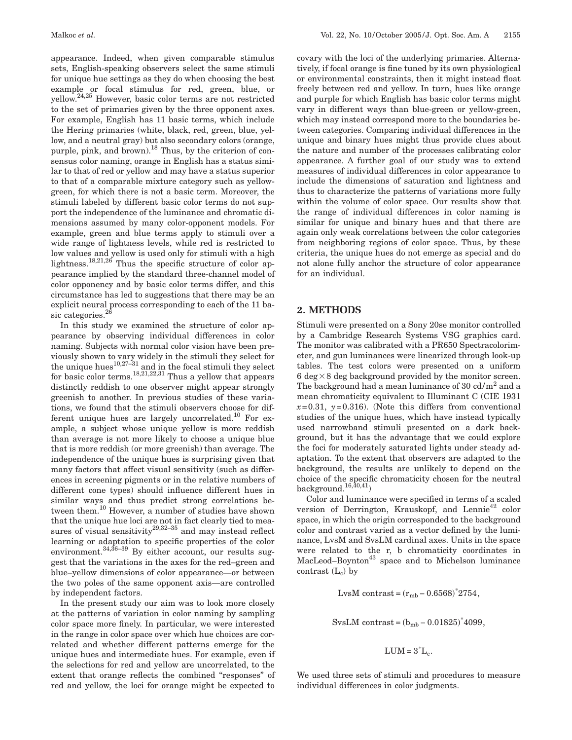appearance. Indeed, when given comparable stimulus sets, English-speaking observers select the same stimuli for unique hue settings as they do when choosing the best example or focal stimulus for red, green, blue, or yellow. 24,25 However, basic color terms are not restricted to the set of primaries given by the three opponent axes. For example, English has 11 basic terms, which include the Hering primaries (white, black, red, green, blue, yellow, and a neutral gray) but also secondary colors (orange, purple, pink, and brown).<sup>18</sup> Thus, by the criterion of consensus color naming, orange in English has a status similar to that of red or yellow and may have a status superior to that of a comparable mixture category such as yellowgreen, for which there is not a basic term. Moreover, the stimuli labeled by different basic color terms do not support the independence of the luminance and chromatic dimensions assumed by many color-opponent models. For example, green and blue terms apply to stimuli over a wide range of lightness levels, while red is restricted to low values and yellow is used only for stimuli with a high lightness.<sup>18,21,26</sup> Thus the specific structure of color appearance implied by the standard three-channel model of color opponency and by basic color terms differ, and this circumstance has led to suggestions that there may be an explicit neural process corresponding to each of the 11 basic categories.<sup>26</sup>

In this study we examined the structure of color appearance by observing individual differences in color naming. Subjects with normal color vision have been previously shown to vary widely in the stimuli they select for the unique hues<sup>10,27–31</sup> and in the focal stimuli they select for basic color terms.  $^{18,21,22,31}$  Thus a yellow that appears distinctly reddish to one observer might appear strongly greenish to another. In previous studies of these variations, we found that the stimuli observers choose for different unique hues are largely uncorrelated.<sup>10</sup> For example, a subject whose unique yellow is more reddish than average is not more likely to choose a unique blue that is more reddish (or more greenish) than average. The independence of the unique hues is surprising given that many factors that affect visual sensitivity (such as differences in screening pigments or in the relative numbers of different cone types) should influence different hues in similar ways and thus predict strong correlations between them.<sup>10</sup> However, a number of studies have shown that the unique hue loci are not in fact clearly tied to measures of visual sensitivity<sup>29,32–35</sup> and may instead reflect learning or adaptation to specific properties of the color environment.<sup>34,36–39</sup> By either account, our results suggest that the variations in the axes for the red–green and blue–yellow dimensions of color appearance—or between the two poles of the same opponent axis—are controlled by independent factors.

In the present study our aim was to look more closely at the patterns of variation in color naming by sampling color space more finely. In particular, we were interested in the range in color space over which hue choices are correlated and whether different patterns emerge for the unique hues and intermediate hues. For example, even if the selections for red and yellow are uncorrelated, to the extent that orange reflects the combined "responses" of red and yellow, the loci for orange might be expected to

covary with the loci of the underlying primaries. Alternatively, if focal orange is fine tuned by its own physiological or environmental constraints, then it might instead float freely between red and yellow. In turn, hues like orange and purple for which English has basic color terms might vary in different ways than blue-green or yellow-green, which may instead correspond more to the boundaries between categories. Comparing individual differences in the unique and binary hues might thus provide clues about the nature and number of the processes calibrating color appearance. A further goal of our study was to extend measures of individual differences in color appearance to include the dimensions of saturation and lightness and thus to characterize the patterns of variations more fully within the volume of color space. Our results show that the range of individual differences in color naming is similar for unique and binary hues and that there are again only weak correlations between the color categories from neighboring regions of color space. Thus, by these criteria, the unique hues do not emerge as special and do not alone fully anchor the structure of color appearance for an individual.

## **2. METHODS**

Stimuli were presented on a Sony 20se monitor controlled by a Cambridge Research Systems VSG graphics card. The monitor was calibrated with a PR650 Spectracolorimeter, and gun luminances were linearized through look-up tables. The test colors were presented on a uniform 6 deg  $\times$  8 deg background provided by the monitor screen. The background had a mean luminance of 30 cd/ $m<sup>2</sup>$  and a mean chromaticity equivalent to Illuminant C (CIE 1931  $x=0.31$ ,  $y=0.316$ ). (Note this differs from conventional studies of the unique hues, which have instead typically used narrowband stimuli presented on a dark background, but it has the advantage that we could explore the foci for moderately saturated lights under steady adaptation. To the extent that observers are adapted to the background, the results are unlikely to depend on the choice of the specific chromaticity chosen for the neutral background. $16,40,41$ 

Color and luminance were specified in terms of a scaled version of Derrington, Krauskopf, and Lennie<sup>42</sup> color space, in which the origin corresponded to the background color and contrast varied as a vector defined by the luminance, LvsM and SvsLM cardinal axes. Units in the space were related to the r, b chromaticity coordinates in  $MacLeod-Boynton<sup>43</sup> space and to Michelson luminance$ contrast  $(L_c)$  by

LvsM contrast =  $(r_{mb} - 0.6568)^*2754$ ,

 $SvsLM$  contrast =  $(b_{mb} - 0.01825)^*4099$ ,

$$
LUM = 3^*L_c.
$$

We used three sets of stimuli and procedures to measure individual differences in color judgments.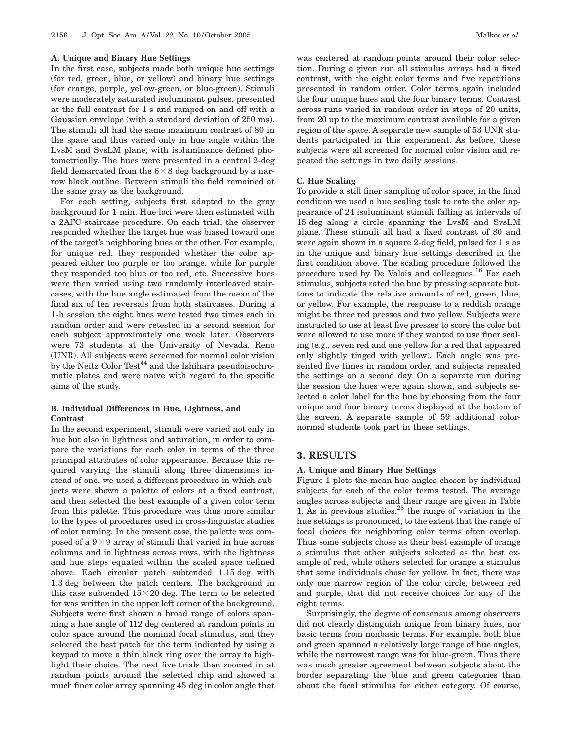#### **A. Unique and Binary Hue Settings**

In the first case, subjects made both unique hue settings (for red, green, blue, or yellow) and binary hue settings (for orange, purple, yellow-green, or blue-green). Stimuli were moderately saturated isoluminant pulses, presented at the full contrast for 1 s and ramped on and off with a Gaussian envelope (with a standard deviation of 250 ms). The stimuli all had the same maximum contrast of 80 in the space and thus varied only in hue angle within the LvsM and SvsLM plane, with isoluminance defined photometrically. The hues were presented in a central 2-deg field demarcated from the  $6 \times 8$  deg background by a narrow black outline. Between stimuli the field remained at the same gray as the background.

For each setting, subjects first adapted to the gray background for 1 min. Hue loci were then estimated with a 2AFC staircase procedure. On each trial, the observer responded whether the target hue was biased toward one of the target's neighboring hues or the other. For example, for unique red, they responded whether the color appeared either too purple or too orange, while for purple they responded too blue or too red, etc. Successive hues were then varied using two randomly interleaved staircases, with the hue angle estimated from the mean of the final six of ten reversals from both staircases. During a 1-h session the eight hues were tested two times each in random order and were retested in a second session for each subject approximately one week later. Observers were 73 students at the University of Nevada, Reno (UNR). All subjects were screened for normal color vision by the Neitz Color Test<sup>44</sup> and the Ishihara pseudoisochromatic plates and were naïve with regard to the specific aims of the study.

## **B. Individual Differences in Hue, Lightness, and Contrast**

In the second experiment, stimuli were varied not only in hue but also in lightness and saturation, in order to compare the variations for each color in terms of the three principal attributes of color appearance. Because this required varying the stimuli along three dimensions instead of one, we used a different procedure in which subjects were shown a palette of colors at a fixed contrast, and then selected the best example of a given color term from this palette. This procedure was thus more similar to the types of procedures used in cross-linguistic studies of color naming. In the present case, the palette was composed of a  $9 \times 9$  array of stimuli that varied in hue across columns and in lightness across rows, with the lightness and hue steps equated within the scaled space defined above. Each circular patch subtended 1.15 deg with 1.3 deg between the patch centers. The background in this case subtended  $15 \times 20$  deg. The term to be selected for was written in the upper left corner of the background. Subjects were first shown a broad range of colors spanning a hue angle of 112 deg centered at random points in color space around the nominal focal stimulus, and they selected the best patch for the term indicated by using a keypad to move a thin black ring over the array to highlight their choice. The next five trials then zoomed in at random points around the selected chip and showed a much finer color array spanning 45 deg in color angle that

was centered at random points around their color selection. During a given run all stimulus arrays had a fixed contrast, with the eight color terms and five repetitions presented in random order. Color terms again included the four unique hues and the four binary terms. Contrast across runs varied in random order in steps of 20 units, from 20 up to the maximum contrast available for a given region of the space. A separate new sample of 53 UNR students participated in this experiment. As before, these subjects were all screened for normal color vision and repeated the settings in two daily sessions.

#### **C. Hue Scaling**

To provide a still finer sampling of color space, in the final condition we used a hue scaling task to rate the color appearance of 24 isoluminant stimuli falling at intervals of 15 deg along a circle spanning the LvsM and SvsLM plane. These stimuli all had a fixed contrast of 80 and were again shown in a square 2-deg field, pulsed for 1 s as in the unique and binary hue settings described in the first condition above. The scaling procedure followed the procedure used by De Valois and colleagues.<sup>16</sup> For each stimulus, subjects rated the hue by pressing separate buttons to indicate the relative amounts of red, green, blue, or yellow. For example, the response to a reddish orange might be three red presses and two yellow. Subjects were instructed to use at least five presses to score the color but were allowed to use more if they wanted to use finer scaling (e.g., seven red and one yellow for a red that appeared only slightly tinged with yellow). Each angle was presented five times in random order, and subjects repeated the settings on a second day. On a separate run during the session the hues were again shown, and subjects selected a color label for the hue by choosing from the four unique and four binary terms displayed at the bottom of the screen. A separate sample of 59 additional colornormal students took part in these settings.

## **3. RESULTS**

#### **A. Unique and Binary Hue Settings**

Figure 1 plots the mean hue angles chosen by individual subjects for each of the color terms tested. The average angles across subjects and their range are given in Table 1. As in previous studies,  $28$  the range of variation in the hue settings is pronounced, to the extent that the range of focal choices for neighboring color terms often overlap. Thus some subjects chose as their best example of orange a stimulus that other subjects selected as the best example of red, while others selected for orange a stimulus that some individuals chose for yellow. In fact, there was only one narrow region of the color circle, between red and purple, that did not receive choices for any of the eight terms.

Surprisingly, the degree of consensus among observers did not clearly distinguish unique from binary hues, nor basic terms from nonbasic terms. For example, both blue and green spanned a relatively large range of hue angles, while the narrowest range was for blue-green. Thus there was much greater agreement between subjects about the border separating the blue and green categories than about the focal stimulus for either category. Of course,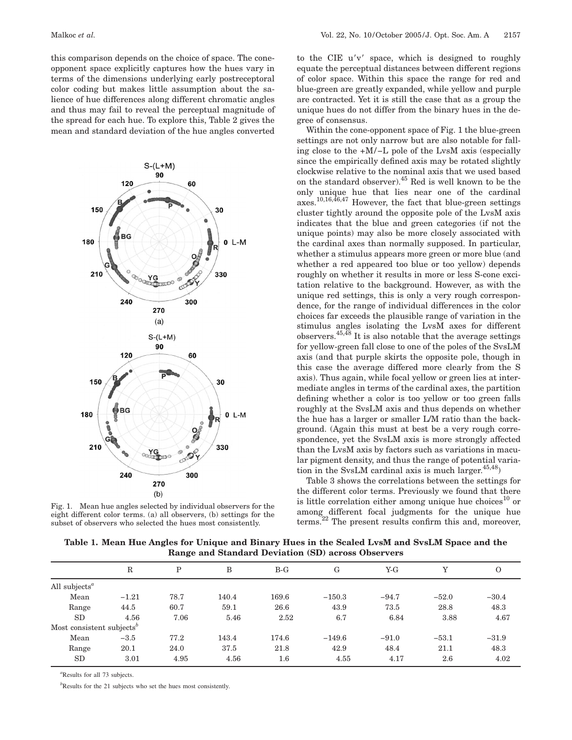this comparison depends on the choice of space. The coneopponent space explicitly captures how the hues vary in terms of the dimensions underlying early postreceptoral color coding but makes little assumption about the salience of hue differences along different chromatic angles and thus may fail to reveal the perceptual magnitude of the spread for each hue. To explore this, Table 2 gives the mean and standard deviation of the hue angles converted



Fig. 1. Mean hue angles selected by individual observers for the eight different color terms. (a) all observers, (b) settings for the subset of observers who selected the hues most consistently.

to the CIE  $u'v'$  space, which is designed to roughly equate the perceptual distances between different regions of color space. Within this space the range for red and blue-green are greatly expanded, while yellow and purple are contracted. Yet it is still the case that as a group the unique hues do not differ from the binary hues in the degree of consensus.

Within the cone-opponent space of Fig. 1 the blue-green settings are not only narrow but are also notable for falling close to the +M/−L pole of the LvsM axis (especially since the empirically defined axis may be rotated slightly clockwise relative to the nominal axis that we used based on the standard observer).45 Red is well known to be the only unique hue that lies near one of the cardinal axes.<sup>10,16,46,47</sup> However, the fact that blue-green settings cluster tightly around the opposite pole of the LvsM axis indicates that the blue and green categories (if not the unique points) may also be more closely associated with the cardinal axes than normally supposed. In particular, whether a stimulus appears more green or more blue (and whether a red appeared too blue or too yellow) depends roughly on whether it results in more or less S-cone excitation relative to the background. However, as with the unique red settings, this is only a very rough correspondence, for the range of individual differences in the color choices far exceeds the plausible range of variation in the stimulus angles isolating the LvsM axes for different observers.  $45,\overline{48}$  It is also notable that the average settings for yellow-green fall close to one of the poles of the SvsLM axis (and that purple skirts the opposite pole, though in this case the average differed more clearly from the S axis). Thus again, while focal yellow or green lies at intermediate angles in terms of the cardinal axes, the partition defining whether a color is too yellow or too green falls roughly at the SvsLM axis and thus depends on whether the hue has a larger or smaller L/M ratio than the background. (Again this must at best be a very rough correspondence, yet the SvsLM axis is more strongly affected than the LvsM axis by factors such as variations in macular pigment density, and thus the range of potential variation in the SvsLM cardinal axis is much larger. 45,48)

Table 3 shows the correlations between the settings for the different color terms. Previously we found that there is little correlation either among unique hue choices<sup>10</sup> or among different focal judgments for the unique hue terms.22 The present results confirm this and, moreover,

Table 1. Mean Hue Angles for Unique and Binary Hues in the Scaled LysM and SysLM Space and the **Range and Standard Deviation (SD) across Observers**

|                                        | $\mathbb R$ | Ρ    | B     | $B-G$   | G        | $Y-G$   | v       | O       |
|----------------------------------------|-------------|------|-------|---------|----------|---------|---------|---------|
| All subjects <sup><math>a</math></sup> |             |      |       |         |          |         |         |         |
| Mean                                   | $-1.21$     | 78.7 | 140.4 | 169.6   | $-150.3$ | $-94.7$ | $-52.0$ | $-30.4$ |
| Range                                  | 44.5        | 60.7 | 59.1  | 26.6    | 43.9     | 73.5    | 28.8    | 48.3    |
| SD                                     | 4.56        | 7.06 | 5.46  | 2.52    | 6.7      | 6.84    | 3.88    | 4.67    |
| Most consistent subjects <sup>b</sup>  |             |      |       |         |          |         |         |         |
| Mean                                   | $-3.5$      | 77.2 | 143.4 | 174.6   | $-149.6$ | $-91.0$ | $-53.1$ | $-31.9$ |
| Range                                  | 20.1        | 24.0 | 37.5  | 21.8    | 42.9     | 48.4    | 21.1    | 48.3    |
| SD                                     | 3.01        | 4.95 | 4.56  | $1.6\,$ | 4.55     | 4.17    | 2.6     | 4.02    |

*a* Results for all 73 subjects.

*b* Results for the 21 subjects who set the hues most consistently.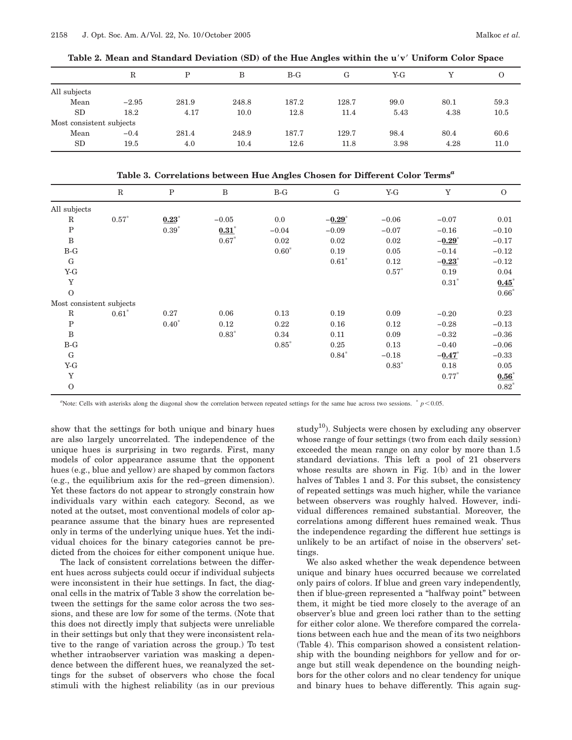**Table 2. Mean and Standard Deviation (SD) of the Hue Angles within the u**!**v**! **Uniform Color Space**

|                          | $_{\rm R}$ | D     | B     | $B-G$ | G     | Y-G  |      | $\overline{O}$ |
|--------------------------|------------|-------|-------|-------|-------|------|------|----------------|
| All subjects             |            |       |       |       |       |      |      |                |
| Mean                     | $-2.95$    | 281.9 | 248.8 | 187.2 | 128.7 | 99.0 | 80.1 | 59.3           |
| <b>SD</b>                | 18.2       | 4.17  | 10.0  | 12.8  | 11.4  | 5.43 | 4.38 | 10.5           |
| Most consistent subjects |            |       |       |       |       |      |      |                |
| Mean                     | $-0.4$     | 281.4 | 248.9 | 187.7 | 129.7 | 98.4 | 80.4 | 60.6           |
| <b>SD</b>                | 19.5       | 4.0   | 10.4  | 12.6  | 11.8  | 3.98 | 4.28 | 11.0           |

**Table 3. Correlations between Hue Angles Chosen for Different Color Terms***<sup>a</sup>*

|                          | $\mathbf R$ | $\mathbf P$ | $\, {\bf B}$ | $B-G$   | G                    | $Y-G$   | Y                    | $\mathbf{O}$ |
|--------------------------|-------------|-------------|--------------|---------|----------------------|---------|----------------------|--------------|
| All subjects             |             |             |              |         |                      |         |                      |              |
| $\mathbf R$              | $0.57*$     | $0.23*$     | $-0.05$      | 0.0     | $-0.29$ <sup>*</sup> | $-0.06$ | $-0.07$              | 0.01         |
| $\, {\bf P}$             |             | $0.39*$     | 0.31         | $-0.04$ | $-0.09$              | $-0.07$ | $-0.16$              | $-0.10$      |
| $\, {\bf B}$             |             |             | $0.67*$      | 0.02    | 0.02                 | 0.02    | $-0.29^*$            | $-0.17$      |
| $B-G$                    |             |             |              | $0.60*$ | 0.19                 | 0.05    | $-0.14$              | $-0.12$      |
| G                        |             |             |              |         | $0.61*$              | 0.12    | $-0.23$ <sup>*</sup> | $-0.12$      |
| $Y-G$                    |             |             |              |         |                      | $0.57*$ | 0.19                 | 0.04         |
| Y                        |             |             |              |         |                      |         | $0.31*$              | $0.45*$      |
| $\Omega$                 |             |             |              |         |                      |         |                      | $0.66*$      |
| Most consistent subjects |             |             |              |         |                      |         |                      |              |
| $\mathbf R$              | $0.61*$     | 0.27        | 0.06         | 0.13    | 0.19                 | 0.09    | $-0.20$              | 0.23         |
| ${\bf P}$                |             | $0.40*$     | 0.12         | 0.22    | 0.16                 | 0.12    | $-0.28$              | $-0.13$      |
| $\, {\bf B}$             |             |             | $0.83*$      | 0.34    | 0.11                 | 0.09    | $-0.32$              | $-0.36$      |
| $B-G$                    |             |             |              | $0.85*$ | 0.25                 | 0.13    | $-0.40$              | $-0.06$      |
| G                        |             |             |              |         | $0.84*$              | $-0.18$ | $-0.47$ *            | $-0.33$      |
| $Y-G$                    |             |             |              |         |                      | $0.83*$ | 0.18                 | 0.05         |
| $\mathbf Y$              |             |             |              |         |                      |         | $0.77*$              | $0.56*$      |
| $\Omega$                 |             |             |              |         |                      |         |                      | $0.82*$      |

<sup>a</sup>Note: Cells with asterisks along the diagonal show the correlation between repeated settings for the same hue across two sessions.  $p < 0.05$ .

show that the settings for both unique and binary hues are also largely uncorrelated. The independence of the unique hues is surprising in two regards. First, many models of color appearance assume that the opponent hues (e.g., blue and yellow) are shaped by common factors (e.g., the equilibrium axis for the red–green dimension). Yet these factors do not appear to strongly constrain how individuals vary within each category. Second, as we noted at the outset, most conventional models of color appearance assume that the binary hues are represented only in terms of the underlying unique hues. Yet the individual choices for the binary categories cannot be predicted from the choices for either component unique hue.

The lack of consistent correlations between the different hues across subjects could occur if individual subjects were inconsistent in their hue settings. In fact, the diagonal cells in the matrix of Table 3 show the correlation between the settings for the same color across the two sessions, and these are low for some of the terms. (Note that this does not directly imply that subjects were unreliable in their settings but only that they were inconsistent relative to the range of variation across the group.) To test whether intraobserver variation was masking a dependence between the different hues, we reanalyzed the settings for the subset of observers who chose the focal stimuli with the highest reliability (as in our previous study<sup>10</sup>). Subjects were chosen by excluding any observer whose range of four settings (two from each daily session) exceeded the mean range on any color by more than 1.5 standard deviations. This left a pool of 21 observers whose results are shown in Fig. 1(b) and in the lower halves of Tables 1 and 3. For this subset, the consistency of repeated settings was much higher, while the variance between observers was roughly halved. However, individual differences remained substantial. Moreover, the correlations among different hues remained weak. Thus the independence regarding the different hue settings is unlikely to be an artifact of noise in the observers' settings.

We also asked whether the weak dependence between unique and binary hues occurred because we correlated only pairs of colors. If blue and green vary independently, then if blue-green represented a "halfway point" between them, it might be tied more closely to the average of an observer's blue and green loci rather than to the setting for either color alone. We therefore compared the correlations between each hue and the mean of its two neighbors (Table 4). This comparison showed a consistent relationship with the bounding neighbors for yellow and for orange but still weak dependence on the bounding neighbors for the other colors and no clear tendency for unique and binary hues to behave differently. This again sug-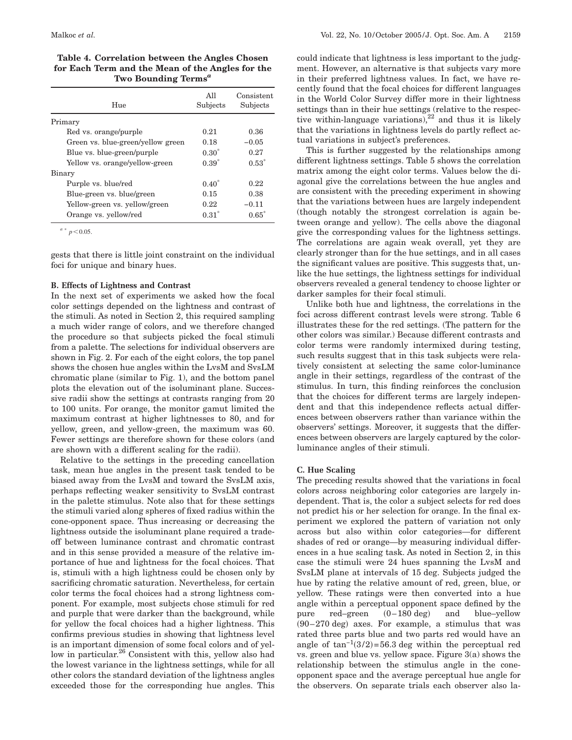**Table 4. Correlation between the Angles Chosen for Each Term and the Mean of the Angles for the Two Bounding Terms***<sup>a</sup>*

| Hue                               | All<br>Subjects | Consistent<br>Subjects |
|-----------------------------------|-----------------|------------------------|
| Primary                           |                 |                        |
| Red vs. orange/purple             | 0.21            | 0.36                   |
| Green vs. blue-green/yellow green | 0.18            | $-0.05$                |
| Blue vs. blue-green/purple        | $0.30*$         | 0.27                   |
| Yellow vs. orange/yellow-green    | $0.39*$         | $0.53*$                |
| Binary                            |                 |                        |
| Purple vs. blue/red               | $0.40*$         | 0.22                   |
| Blue-green vs. blue/green         | 0.15            | 0.38                   |
| Yellow-green vs. yellow/green     | 0.22            | $-0.11$                |
| Orange vs. yellow/red             | $0.31*$         | $0.65^*$               |

 $^{a}$  \*  $p$  < 0.05.

gests that there is little joint constraint on the individual foci for unique and binary hues.

#### **B. Effects of Lightness and Contrast**

In the next set of experiments we asked how the focal color settings depended on the lightness and contrast of the stimuli. As noted in Section 2, this required sampling a much wider range of colors, and we therefore changed the procedure so that subjects picked the focal stimuli from a palette. The selections for individual observers are shown in Fig. 2. For each of the eight colors, the top panel shows the chosen hue angles within the LvsM and SvsLM chromatic plane (similar to Fig. 1), and the bottom panel plots the elevation out of the isoluminant plane. Successive radii show the settings at contrasts ranging from 20 to 100 units. For orange, the monitor gamut limited the maximum contrast at higher lightnesses to 80, and for yellow, green, and yellow-green, the maximum was 60. Fewer settings are therefore shown for these colors (and are shown with a different scaling for the radii).

Relative to the settings in the preceding cancellation task, mean hue angles in the present task tended to be biased away from the LvsM and toward the SvsLM axis, perhaps reflecting weaker sensitivity to SvsLM contrast in the palette stimulus. Note also that for these settings the stimuli varied along spheres of fixed radius within the cone-opponent space. Thus increasing or decreasing the lightness outside the isoluminant plane required a tradeoff between luminance contrast and chromatic contrast and in this sense provided a measure of the relative importance of hue and lightness for the focal choices. That is, stimuli with a high lightness could be chosen only by sacrificing chromatic saturation. Nevertheless, for certain color terms the focal choices had a strong lightness component. For example, most subjects chose stimuli for red and purple that were darker than the background, while for yellow the focal choices had a higher lightness. This confirms previous studies in showing that lightness level is an important dimension of some focal colors and of yellow in particular. <sup>26</sup> Consistent with this, yellow also had the lowest variance in the lightness settings, while for all other colors the standard deviation of the lightness angles exceeded those for the corresponding hue angles. This could indicate that lightness is less important to the judgment. However, an alternative is that subjects vary more in their preferred lightness values. In fact, we have recently found that the focal choices for different languages in the World Color Survey differ more in their lightness settings than in their hue settings (relative to the respective within-language variations), $^{22}$  and thus it is likely that the variations in lightness levels do partly reflect actual variations in subject's preferences.

This is further suggested by the relationships among different lightness settings. Table 5 shows the correlation matrix among the eight color terms. Values below the diagonal give the correlations between the hue angles and are consistent with the preceding experiment in showing that the variations between hues are largely independent (though notably the strongest correlation is again between orange and yellow). The cells above the diagonal give the corresponding values for the lightness settings. The correlations are again weak overall, yet they are clearly stronger than for the hue settings, and in all cases the significant values are positive. This suggests that, unlike the hue settings, the lightness settings for individual observers revealed a general tendency to choose lighter or darker samples for their focal stimuli.

Unlike both hue and lightness, the correlations in the foci across different contrast levels were strong. Table 6 illustrates these for the red settings. (The pattern for the other colors was similar.) Because different contrasts and color terms were randomly intermixed during testing, such results suggest that in this task subjects were relatively consistent at selecting the same color-luminance angle in their settings, regardless of the contrast of the stimulus. In turn, this finding reinforces the conclusion that the choices for different terms are largely independent and that this independence reflects actual differences between observers rather than variance within the observers' settings. Moreover, it suggests that the differences between observers are largely captured by the colorluminance angles of their stimuli.

## **C. Hue Scaling**

The preceding results showed that the variations in focal colors across neighboring color categories are largely independent. That is, the color a subject selects for red does not predict his or her selection for orange. In the final experiment we explored the pattern of variation not only across but also within color categories—for different shades of red or orange—by measuring individual differences in a hue scaling task. As noted in Section 2, in this case the stimuli were 24 hues spanning the LvsM and SvsLM plane at intervals of 15 deg. Subjects judged the hue by rating the relative amount of red, green, blue, or yellow. These ratings were then converted into a hue angle within a perceptual opponent space defined by the pure  $red$ –green  $(0-180 \text{ deg})$  and blue–yellow  $(90-270 \text{ deg})$  axes. For example, a stimulus that was rated three parts blue and two parts red would have an angle of  $tan^{-1}(3/2) = 56.3$  deg within the perceptual red vs. green and blue vs. yellow space. Figure 3(a) shows the relationship between the stimulus angle in the coneopponent space and the average perceptual hue angle for the observers. On separate trials each observer also la-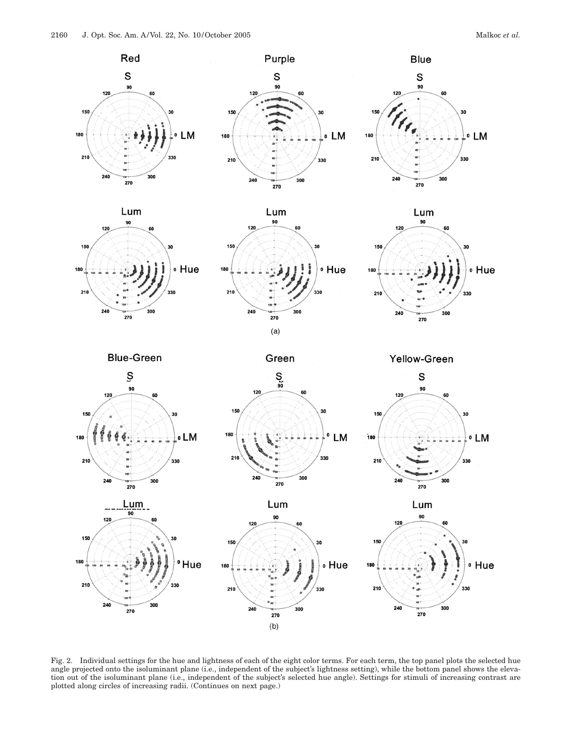

Fig. 2. Individual settings for the hue and lightness of each of the eight color terms. For each term, the top panel plots the selected hue angle projected onto the isoluminant plane (i.e., independent of the subject's lightness setting), while the bottom panel shows the elevation out of the isoluminant plane (i.e., independent of the subject's selected hue angle). Settings for stimuli of increasing contrast are plotted along circles of increasing radii. (Continues on next page.)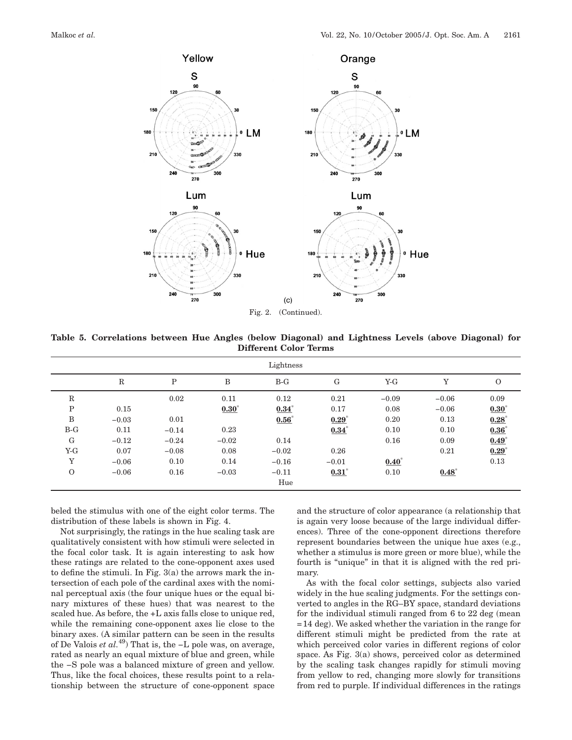

**Table 5. Correlations between Hue Angles (below Diagonal) and Lightness Levels (above Diagonal) for Different Color Terms**

|             |              |             |         | Lightness  |            |         |                |            |
|-------------|--------------|-------------|---------|------------|------------|---------|----------------|------------|
|             | $\mathbb{R}$ | $\mathbf P$ | B       | $B-G$      | G          | $Y-G$   | $\overline{V}$ | $\Omega$   |
| $\mathbb R$ |              | 0.02        | 0.11    | 0.12       | 0.21       | $-0.09$ | $-0.06$        | 0.09       |
| $\mathbf P$ | 0.15         |             | $0.30*$ | $0.34^{*}$ | 0.17       | 0.08    | $-0.06$        | $0.30^{*}$ |
| B           | $-0.03$      | 0.01        |         | $0.56^*$   | $0.29*$    | 0.20    | 0.13           | $0.28^{*}$ |
| $B-G$       | 0.11         | $-0.14$     | 0.23    |            | $0.34^{*}$ | 0.10    | 0.10           | $0.36*$    |
| G           | $-0.12$      | $-0.24$     | $-0.02$ | 0.14       |            | 0.16    | 0.09           | $0.49*$    |
| $Y-G$       | 0.07         | $-0.08$     | 0.08    | $-0.02$    | 0.26       |         | 0.21           | 0.29       |
| Y           | $-0.06$      | 0.10        | 0.14    | $-0.16$    | $-0.01$    | $0.40*$ |                | 0.13       |
| $\Omega$    | $-0.06$      | 0.16        | $-0.03$ | $-0.11$    | $0.31*$    | 0.10    | $0.48*$        |            |
|             |              |             |         | Hue        |            |         |                |            |

beled the stimulus with one of the eight color terms. The distribution of these labels is shown in Fig. 4.

Not surprisingly, the ratings in the hue scaling task are qualitatively consistent with how stimuli were selected in the focal color task. It is again interesting to ask how these ratings are related to the cone-opponent axes used to define the stimuli. In Fig. 3(a) the arrows mark the intersection of each pole of the cardinal axes with the nominal perceptual axis (the four unique hues or the equal binary mixtures of these hues) that was nearest to the scaled hue. As before, the +L axis falls close to unique red, while the remaining cone-opponent axes lie close to the binary axes. (A similar pattern can be seen in the results of De Valois *et al.*49) That is, the −L pole was, on average, rated as nearly an equal mixture of blue and green, while the −S pole was a balanced mixture of green and yellow. Thus, like the focal choices, these results point to a relationship between the structure of cone-opponent space

and the structure of color appearance (a relationship that is again very loose because of the large individual differences). Three of the cone-opponent directions therefore represent boundaries between the unique hue axes (e.g., whether a stimulus is more green or more blue), while the fourth is "unique" in that it is aligned with the red primary.

As with the focal color settings, subjects also varied widely in the hue scaling judgments. For the settings converted to angles in the RG–BY space, standard deviations for the individual stimuli ranged from  $6$  to  $22$  deg (mean  $=14$  deg). We asked whether the variation in the range for different stimuli might be predicted from the rate at which perceived color varies in different regions of color space. As Fig. 3(a) shows, perceived color as determined by the scaling task changes rapidly for stimuli moving from yellow to red, changing more slowly for transitions from red to purple. If individual differences in the ratings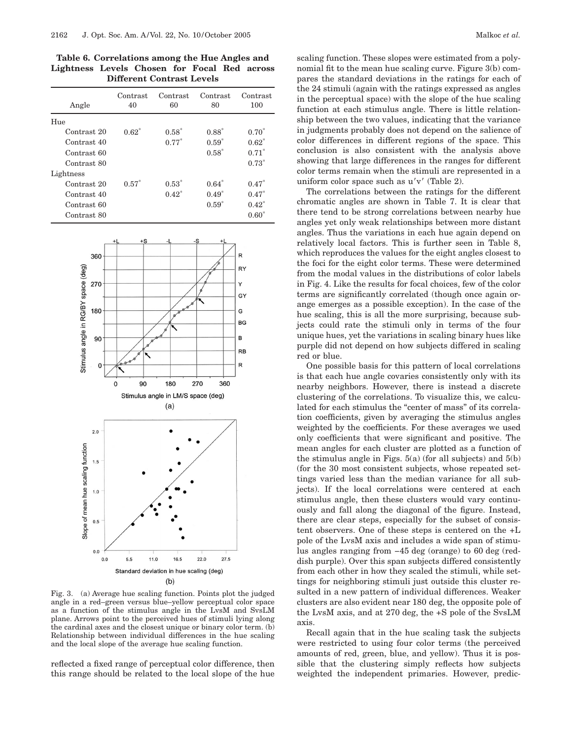**Table 6. Correlations among the Hue Angles and Lightness Levels Chosen for Focal Red across Different Contrast Levels**

| Angle       | Contrast<br>40 | Contrast<br>60 | Contrast<br>80 | Contrast<br>100 |
|-------------|----------------|----------------|----------------|-----------------|
| Hue         |                |                |                |                 |
| Contrast 20 | $0.62*$        | $0.58*$        | $0.88*$        | $0.70*$         |
| Contrast 40 |                | $0.77*$        | $0.59*$        | $0.62*$         |
| Contrast 60 |                |                | $0.58*$        | $0.71*$         |
| Contrast 80 |                |                |                | $0.73*$         |
| Lightness   |                |                |                |                 |
| Contrast 20 | $0.57*$        | $0.53*$        | $0.64*$        | $0.47*$         |
| Contrast 40 |                | $0.42^*$       | $0.49*$        | $0.47*$         |
| Contrast 60 |                |                | $0.59*$        | $0.42^*$        |
| Contrast 80 |                |                |                | $0.60*$         |



Fig. 3. (a) Average hue scaling function. Points plot the judged angle in a red–green versus blue–yellow perceptual color space as a function of the stimulus angle in the LvsM and SvsLM plane. Arrows point to the perceived hues of stimuli lying along the cardinal axes and the closest unique or binary color term. (b) Relationship between individual differences in the hue scaling and the local slope of the average hue scaling function.

reflected a fixed range of perceptual color difference, then this range should be related to the local slope of the hue

scaling function. These slopes were estimated from a polynomial fit to the mean hue scaling curve. Figure 3(b) compares the standard deviations in the ratings for each of the 24 stimuli (again with the ratings expressed as angles in the perceptual space) with the slope of the hue scaling function at each stimulus angle. There is little relationship between the two values, indicating that the variance in judgments probably does not depend on the salience of color differences in different regions of the space. This conclusion is also consistent with the analysis above showing that large differences in the ranges for different color terms remain when the stimuli are represented in a uniform color space such as  $u'v'$  (Table 2).

The correlations between the ratings for the different chromatic angles are shown in Table 7. It is clear that there tend to be strong correlations between nearby hue angles yet only weak relationships between more distant angles. Thus the variations in each hue again depend on relatively local factors. This is further seen in Table 8, which reproduces the values for the eight angles closest to the foci for the eight color terms. These were determined from the modal values in the distributions of color labels in Fig. 4. Like the results for focal choices, few of the color terms are significantly correlated (though once again orange emerges as a possible exception). In the case of the hue scaling, this is all the more surprising, because subjects could rate the stimuli only in terms of the four unique hues, yet the variations in scaling binary hues like purple did not depend on how subjects differed in scaling red or blue.

One possible basis for this pattern of local correlations is that each hue angle covaries consistently only with its nearby neighbors. However, there is instead a discrete clustering of the correlations. To visualize this, we calculated for each stimulus the "center of mass" of its correlation coefficients, given by averaging the stimulus angles weighted by the coefficients. For these averages we used only coefficients that were significant and positive. The mean angles for each cluster are plotted as a function of the stimulus angle in Figs.  $5(a)$  (for all subjects) and  $5(b)$ (for the 30 most consistent subjects, whose repeated settings varied less than the median variance for all subjects). If the local correlations were centered at each stimulus angle, then these clusters would vary continuously and fall along the diagonal of the figure. Instead, there are clear steps, especially for the subset of consistent observers. One of these steps is centered on the +L pole of the LvsM axis and includes a wide span of stimulus angles ranging from −45 deg (orange) to 60 deg (reddish purple). Over this span subjects differed consistently from each other in how they scaled the stimuli, while settings for neighboring stimuli just outside this cluster resulted in a new pattern of individual differences. Weaker clusters are also evident near 180 deg, the opposite pole of the LvsM axis, and at 270 deg, the +S pole of the SvsLM axis.

Recall again that in the hue scaling task the subjects were restricted to using four color terms (the perceived amounts of red, green, blue, and yellow). Thus it is possible that the clustering simply reflects how subjects weighted the independent primaries. However, predic-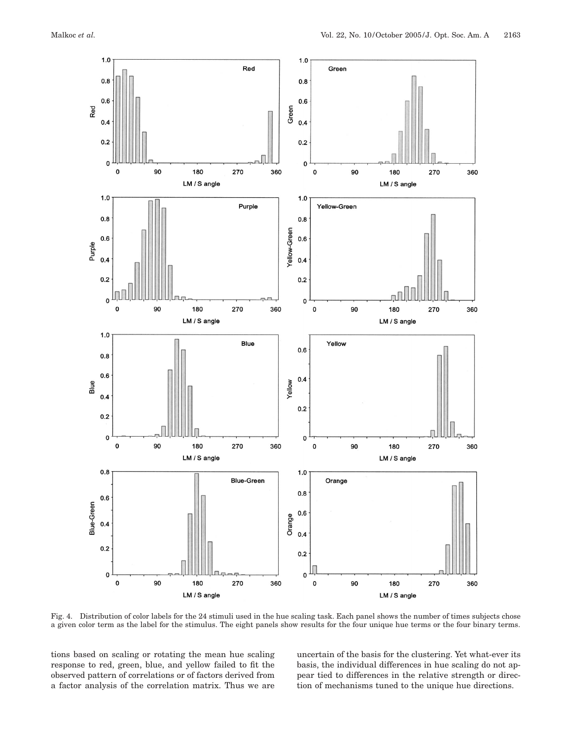

Fig. 4. Distribution of color labels for the 24 stimuli used in the hue scaling task. Each panel shows the number of times subjects chose a given color term as the label for the stimulus. The eight panels show results for the four unique hue terms or the four binary terms.

tions based on scaling or rotating the mean hue scaling response to red, green, blue, and yellow failed to fit the observed pattern of correlations or of factors derived from a factor analysis of the correlation matrix. Thus we are uncertain of the basis for the clustering. Yet what-ever its basis, the individual differences in hue scaling do not appear tied to differences in the relative strength or direction of mechanisms tuned to the unique hue directions.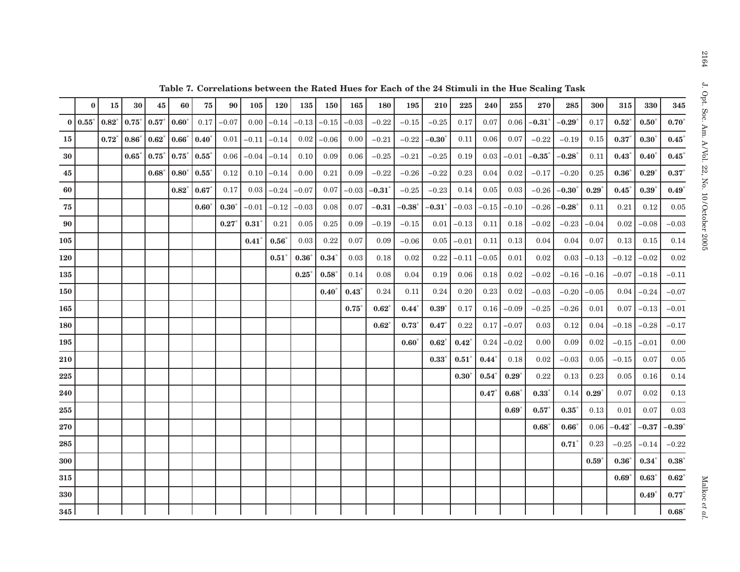| $\bf{0}$ | 15                    | 30      | 45      | 60             | 75             | 90           | 105          | 120      | 135      | 150     | 165          | 180      | 195                | 210                | 225              | 240      | 255     | 270          | 285                   | 300              | 315                | 330            | 345                   |
|----------|-----------------------|---------|---------|----------------|----------------|--------------|--------------|----------|----------|---------|--------------|----------|--------------------|--------------------|------------------|----------|---------|--------------|-----------------------|------------------|--------------------|----------------|-----------------------|
|          | $0.82^{*}$            | $0.75*$ | 0.57    | $0.60^\circ$   | 0.17           | $-0.07$      | 0.00         | $-0.14$  | $-0.13$  | $-0.15$ | $-0.03$      | $-0.22$  | $-0.15$            | $-0.25$            | $0.17\,$         | $0.07\,$ | 0.06    | $-0.31$ *    | $-0.29$               | 0.17             | $0.52^*$           | $0.50^*$       | $\mathbf{0.70}^\ast$  |
|          | $0.72^{*}$            | $0.86*$ | 0.62    | 0.66           | $0.40^\circ$   | 0.01         | $-0.11$      | $-0.14$  | 0.02     | $-0.06$ | 0.00         | $-0.21$  | $-0.22$            | $-0.30^\circ$      | 0.11             | 0.06     | 0.07    | $-0.22$      | $-0.19$               | 0.15             | $0.37^{*}$         | 0.30           | 0.45                  |
|          |                       | $0.65*$ | 0.75    | $0.75^{\circ}$ | 0.55           | 0.06         | $-0.04$      | $-0.14$  | 0.10     | 0.09    | 0.06         | $-0.25$  | $-0.21$            | $-0.25$            | 0.19             | 0.03     | $-0.01$ | $-0.35^\ast$ | $\textbf{-0.28}^\ast$ | 0.11             | $0.43^{\circ}$     | $0.40^\circ$   | 0.45                  |
|          |                       |         | $0.68*$ | $0.80^\circ$   | $0.55^{\circ}$ | 0.12         | 0.10         | $-0.14$  | 0.00     | 0.21    | 0.09         | $-0.22$  | $-0.26$            | $-0.22$            | 0.23             | 0.04     | 0.02    |              | $-0.20$               | 0.25             | $0.36*$            | $0.29^{\circ}$ | $\mathbf{0.37}^\ast$  |
|          |                       |         |         | $0.82^{*}$     | 0.67           | 0.17         | 0.03         | $-0.24$  | $-0.07$  | 0.07    | $-0.03$      | $-0.31$  | $-0.25$            | $-0.23$            | 0.14             | 0.05     | 0.03    |              | $-0.30^*$             | $0.29^{\degree}$ | $0.45^*$           | 0.39           | 0.49                  |
|          |                       |         |         |                | $0.60^{\circ}$ | $0.30^\circ$ | $-0.01$      | $-0.12$  | $-0.03$  | 0.08    | 0.07         | $-0.31$  | $\textbf{-0.38}^*$ | $\textbf{-0.31}^*$ | $-0.03$          | $-0.15$  | $-0.10$ | $-0.26$      | $-0.28^\degree$       | 0.11             | 0.21               | 0.12           | 0.05                  |
|          |                       |         |         |                |                | $0.27*$      | $0.31^\circ$ | 0.21     | 0.05     | 0.25    | 0.09         | $-0.19$  | $-0.15$            | 0.01               | $-0.13$          | 0.11     | 0.18    | $-0.02$      | $-0.23$               | $-0.04$          | 0.02               | $-0.08$        | $-0.03$               |
|          |                       |         |         |                |                |              | $0.41^\circ$ | $0.56^*$ | 0.03     | 0.22    | 0.07         | 0.09     | $-0.06$            | 0.05               | $-0.01$          | 0.11     | 0.13    | 0.04         | 0.04                  | 0.07             | 0.13               | 0.15           | 0.14                  |
|          |                       |         |         |                |                |              |              | $0.51^*$ | 0.36     | $0.34*$ | 0.03         | 0.18     | 0.02               | 0.22               | $-0.11$          | $-0.05$  | 0.01    | 0.02         | 0.03                  | $-0.13$          | $-0.12$            | $-0.02$        | 0.02                  |
|          |                       |         |         |                |                |              |              |          | $0.25^*$ | $0.58*$ | 0.14         | 0.08     | 0.04               | 0.19               | 0.06             | 0.18     | 0.02    | $-0.02$      | $-0.16$               | $-0.16$          | $-0.07$            | $-0.18$        | $-0.11$               |
|          |                       |         |         |                |                |              |              |          |          | $0.40*$ | $0.43^\circ$ | 0.24     | 0.11               | 0.24               | $0.20\,$         | 0.23     | 0.02    | $-0.03$      | $-0.20$               | $-0.05$          | 0.04               | $-0.24$        | $-0.07$               |
|          |                       |         |         |                |                |              |              |          |          |         | 0.75         | $0.62^*$ | $0.44*$            | $0.39^{\circ}$     | 0.17             | 0.16     | $-0.09$ | $-0.25$      | $-0.26$               | 0.01             | 0.07               | $-0.13$        | $-0.01$               |
|          |                       |         |         |                |                |              |              |          |          |         |              | $0.62^*$ | $0.73*$            | $0.47^{\degree}$   | 0.22             | 0.17     | $-0.07$ | 0.03         | 0.12                  | 0.04             | $-0.18$            | $-0.28$        | $-0.17$               |
|          |                       |         |         |                |                |              |              |          |          |         |              |          | $0.60*$            | $0.62^{\circ}$     | $0.42^{\degree}$ | 0.24     | $-0.02$ | 0.00         | 0.09                  | 0.02             | $-0.15$            | $-0.01$        | 0.00                  |
|          |                       |         |         |                |                |              |              |          |          |         |              |          |                    | $0.33^\circ$       | $0.51^\circ$     | $0.44*$  | 0.18    | 0.02         | $-0.03$               | 0.05             | $-0.15$            | 0.07           | $0.05\,$              |
|          |                       |         |         |                |                |              |              |          |          |         |              |          |                    |                    | $0.30^\circ$     | $0.54^*$ | $0.29*$ | 0.22         | 0.13                  | 0.23             | 0.05               | 0.16           | 0.14                  |
|          |                       |         |         |                |                |              |              |          |          |         |              |          |                    |                    |                  | $0.47^*$ | 0.68    | $0.33*$      | 0.14                  | $0.29^{\circ}$   | 0.07               | 0.02           | 0.13                  |
|          |                       |         |         |                |                |              |              |          |          |         |              |          |                    |                    |                  |          | $0.69*$ | $0.57^*$     | $0.35^\circ$          | 0.13             | 0.01               | 0.07           | 0.03                  |
|          |                       |         |         |                |                |              |              |          |          |         |              |          |                    |                    |                  |          |         | 0.68         | $0.66^\circ$          | 0.06             | $\textbf{-0.42}^*$ | $-0.37$        | $\textbf{-0.39}^\ast$ |
|          |                       |         |         |                |                |              |              |          |          |         |              |          |                    |                    |                  |          |         |              | $0.71^*$              | 0.23             | $-0.25$            | $-0.14$        | $-0.22$               |
|          |                       |         |         |                |                |              |              |          |          |         |              |          |                    |                    |                  |          |         |              |                       | $0.59*$          | $0.36*$            | $0.34^*$       | $\mathbf{0.38}^\ast$  |
|          |                       |         |         |                |                |              |              |          |          |         |              |          |                    |                    |                  |          |         |              |                       |                  | 0.69               | $0.63^\circ$   | 0.62                  |
|          |                       |         |         |                |                |              |              |          |          |         |              |          |                    |                    |                  |          |         |              |                       |                  |                    | 0.49           | $0.77^{*}$            |
|          |                       |         |         |                |                |              |              |          |          |         |              |          |                    |                    |                  |          |         |              |                       |                  |                    |                | $0.68*$               |
|          | $0   0.55^*$<br>345 l |         |         |                |                |              |              |          |          |         |              |          |                    |                    |                  |          |         |              | $-0.17$<br>$-0.26$    |                  |                    |                |                       |

Table 7. Correlations between the Rated Hues for Each of the 24 Stimuli in the Hue Scaling Task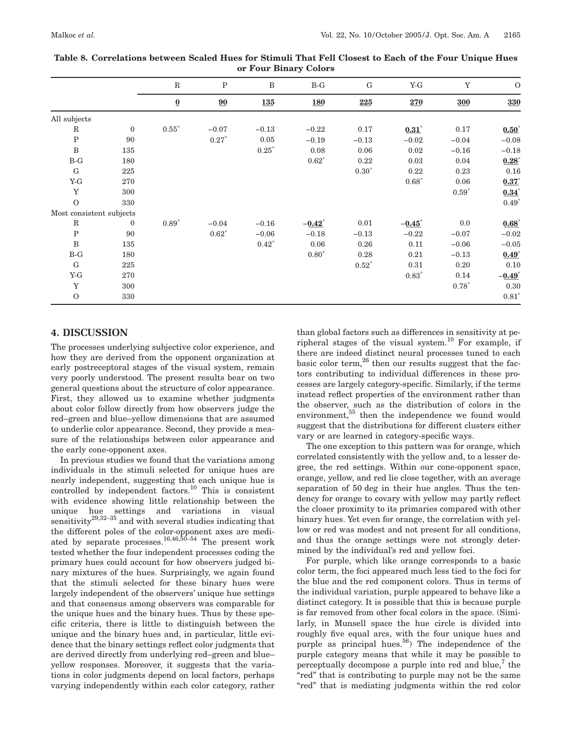|                          |                  | $\mathbf R$              | $\mathbf P$ | $\, {\bf B}$ | $B-G$                | G       | $Y-G$                | $\mathbf Y$ | $\mathbf{O}$         |
|--------------------------|------------------|--------------------------|-------------|--------------|----------------------|---------|----------------------|-------------|----------------------|
|                          |                  | $\underline{\mathbf{0}}$ | 90          | <b>135</b>   | <b>180</b>           | 225     | 270                  | 300         | 330                  |
| All subjects             |                  |                          |             |              |                      |         |                      |             |                      |
| $\mathbf R$              | $\boldsymbol{0}$ | $0.55*$                  | $-0.07$     | $-0.13$      | $-0.22$              | 0.17    | $0.31^{*}$           | 0.17        | $0.50^{*}$           |
| ${\bf P}$                | 90               |                          | $0.27*$     | 0.05         | $-0.19$              | $-0.13$ | $-0.02$              | $-0.04$     | $-0.08$              |
| $\, {\bf B}$             | 135              |                          |             | $0.25*$      | 0.08                 | 0.06    | 0.02                 | $-0.16$     | $-0.18$              |
| $B-G$                    | 180              |                          |             |              | $0.62*$              | 0.22    | 0.03                 | 0.04        | $0.28^{*}$           |
| ${\rm G}$                | 225              |                          |             |              |                      | $0.30*$ | 0.22                 | 0.23        | 0.16                 |
| $Y-G$                    | 270              |                          |             |              |                      |         | $0.68*$              | 0.06        | $0.37^{*}$           |
| $\mathbf Y$              | 300              |                          |             |              |                      |         |                      | $0.59*$     | $0.34^{*}$           |
| $\Omega$                 | 330              |                          |             |              |                      |         |                      |             | $0.49*$              |
| Most consistent subjects |                  |                          |             |              |                      |         |                      |             |                      |
| $\rm R$                  | $\mathbf{0}$     | $0.89*$                  | $-0.04$     | $-0.16$      | $-0.42$ <sup>*</sup> | 0.01    | $-0.45$ <sup>*</sup> | 0.0         | $0.68*$              |
| ${\bf P}$                | 90               |                          | $0.62*$     | $-0.06$      | $-0.18$              | $-0.13$ | $-0.22$              | $-0.07$     | $-0.02$              |
| $\, {\bf B}$             | 135              |                          |             | $0.42*$      | 0.06                 | 0.26    | 0.11                 | $-0.06$     | $-0.05$              |
| $B-G$                    | 180              |                          |             |              | $0.80*$              | 0.28    | 0.21                 | $-0.13$     | $0.49*$              |
| G                        | 225              |                          |             |              |                      | $0.52*$ | 0.31                 | 0.20        | $0.10\,$             |
| $Y-G$                    | 270              |                          |             |              |                      |         | $0.83*$              | 0.14        | $-0.49$ <sup>*</sup> |
| Y                        | 300              |                          |             |              |                      |         |                      | $0.78*$     | $\rm 0.30$           |
| $\mathbf{O}$             | 330              |                          |             |              |                      |         |                      |             | $0.81*$              |

| Table 8. Correlations between Scaled Hues for Stimuli That Fell Closest to Each of the Four Unique Hues |
|---------------------------------------------------------------------------------------------------------|
| or Four Binary Colors                                                                                   |

## **4. DISCUSSION**

The processes underlying subjective color experience, and how they are derived from the opponent organization at early postreceptoral stages of the visual system, remain very poorly understood. The present results bear on two general questions about the structure of color appearance. First, they allowed us to examine whether judgments about color follow directly from how observers judge the red–green and blue–yellow dimensions that are assumed to underlie color appearance. Second, they provide a measure of the relationships between color appearance and the early cone-opponent axes.

In previous studies we found that the variations among individuals in the stimuli selected for unique hues are nearly independent, suggesting that each unique hue is controlled by independent factors.<sup>10</sup> This is consistent with evidence showing little relationship between the unique hue settings and variations in visual sensitivity $^{29,32-35}$  and with several studies indicating that the different poles of the color-opponent axes are mediated by separate processes.<sup>16,46,50-54</sup> The present work tested whether the four independent processes coding the primary hues could account for how observers judged binary mixtures of the hues. Surprisingly, we again found that the stimuli selected for these binary hues were largely independent of the observers' unique hue settings and that consensus among observers was comparable for the unique hues and the binary hues. Thus by these specific criteria, there is little to distinguish between the unique and the binary hues and, in particular, little evidence that the binary settings reflect color judgments that are derived directly from underlying red–green and blue– yellow responses. Moreover, it suggests that the variations in color judgments depend on local factors, perhaps varying independently within each color category, rather than global factors such as differences in sensitivity at peripheral stages of the visual system.<sup>10</sup> For example, if there are indeed distinct neural processes tuned to each basic color term, $^{26}$  then our results suggest that the factors contributing to individual differences in these processes are largely category-specific. Similarly, if the terms instead reflect properties of the environment rather than the observer, such as the distribution of colors in the environment,<sup>55</sup> then the independence we found would suggest that the distributions for different clusters either vary or are learned in category-specific ways.

The one exception to this pattern was for orange, which correlated consistently with the yellow and, to a lesser degree, the red settings. Within our cone-opponent space, orange, yellow, and red lie close together, with an average separation of 50 deg in their hue angles. Thus the tendency for orange to covary with yellow may partly reflect the closer proximity to its primaries compared with other binary hues. Yet even for orange, the correlation with yellow or red was modest and not present for all conditions, and thus the orange settings were not strongly determined by the individual's red and yellow foci.

For purple, which like orange corresponds to a basic color term, the foci appeared much less tied to the foci for the blue and the red component colors. Thus in terms of the individual variation, purple appeared to behave like a distinct category. It is possible that this is because purple is far removed from other focal colors in the space. (Similarly, in Munsell space the hue circle is divided into roughly five equal arcs, with the four unique hues and purple as principal hues.<sup>56</sup>) The independence of the purple category means that while it may be possible to perceptually decompose a purple into red and blue, $\ell$  the "red" that is contributing to purple may not be the same "red" that is mediating judgments within the red color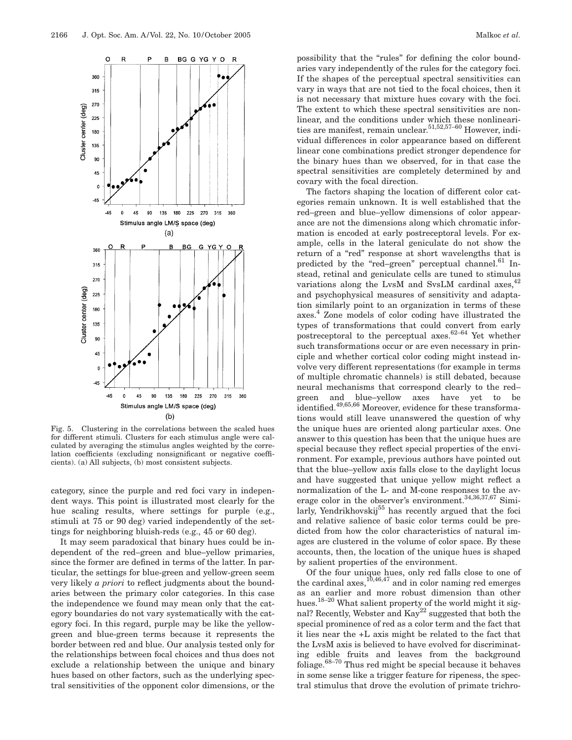

Fig. 5. Clustering in the correlations between the scaled hues for different stimuli. Clusters for each stimulus angle were calculated by averaging the stimulus angles weighted by the correlation coefficients (excluding nonsignificant or negative coefficients). (a) All subjects, (b) most consistent subjects.

category, since the purple and red foci vary in independent ways. This point is illustrated most clearly for the hue scaling results, where settings for purple (e.g., stimuli at 75 or 90 deg) varied independently of the settings for neighboring bluish-reds (e.g., 45 or 60 deg).

It may seem paradoxical that binary hues could be independent of the red–green and blue–yellow primaries, since the former are defined in terms of the latter. In particular, the settings for blue-green and yellow-green seem very likely *a priori* to reflect judgments about the boundaries between the primary color categories. In this case the independence we found may mean only that the category boundaries do not vary systematically with the category foci. In this regard, purple may be like the yellowgreen and blue-green terms because it represents the border between red and blue. Our analysis tested only for the relationships between focal choices and thus does not exclude a relationship between the unique and binary hues based on other factors, such as the underlying spectral sensitivities of the opponent color dimensions, or the

possibility that the "rules" for defining the color boundaries vary independently of the rules for the category foci. If the shapes of the perceptual spectral sensitivities can vary in ways that are not tied to the focal choices, then it is not necessary that mixture hues covary with the foci. The extent to which these spectral sensitivities are nonlinear, and the conditions under which these nonlinearities are manifest, remain unclear.<sup>51,52,57–60</sup> However, individual differences in color appearance based on different linear cone combinations predict stronger dependence for the binary hues than we observed, for in that case the spectral sensitivities are completely determined by and covary with the focal direction.

The factors shaping the location of different color categories remain unknown. It is well established that the red–green and blue–yellow dimensions of color appearance are not the dimensions along which chromatic information is encoded at early postreceptoral levels. For example, cells in the lateral geniculate do not show the return of a "red" response at short wavelengths that is predicted by the "red–green" perceptual channel.<sup>61</sup> Instead, retinal and geniculate cells are tuned to stimulus variations along the LvsM and SvsLM cardinal axes,  $42$ and psychophysical measures of sensitivity and adaptation similarly point to an organization in terms of these axes.4 Zone models of color coding have illustrated the types of transformations that could convert from early postreceptoral to the perceptual axes.<sup>62–64</sup> Yet whether such transformations occur or are even necessary in principle and whether cortical color coding might instead involve very different representations (for example in terms of multiple chromatic channels) is still debated, because neural mechanisms that correspond clearly to the red– green and blue–yellow axes have yet to be identified.<sup>49,65,66</sup> Moreover, evidence for these transformations would still leave unanswered the question of why the unique hues are oriented along particular axes. One answer to this question has been that the unique hues are special because they reflect special properties of the environment. For example, previous authors have pointed out that the blue–yellow axis falls close to the daylight locus and have suggested that unique yellow might reflect a normalization of the L- and M-cone responses to the average color in the observer's environment.<sup>34,36,37,67</sup> Similarly, Yendrikhovskij<sup>55</sup> has recently argued that the foci and relative salience of basic color terms could be predicted from how the color characteristics of natural images are clustered in the volume of color space. By these accounts, then, the location of the unique hues is shaped by salient properties of the environment.

Of the four unique hues, only red falls close to one of the cardinal axes, $10,46,47$  and in color naming red emerges as an earlier and more robust dimension than other hues.18–20 What salient property of the world might it signal? Recently, Webster and Kay<sup>22</sup> suggested that both the special prominence of red as a color term and the fact that it lies near the +L axis might be related to the fact that the LvsM axis is believed to have evolved for discriminating edible fruits and leaves from the background foliage. $68-70$  Thus red might be special because it behaves in some sense like a trigger feature for ripeness, the spectral stimulus that drove the evolution of primate trichro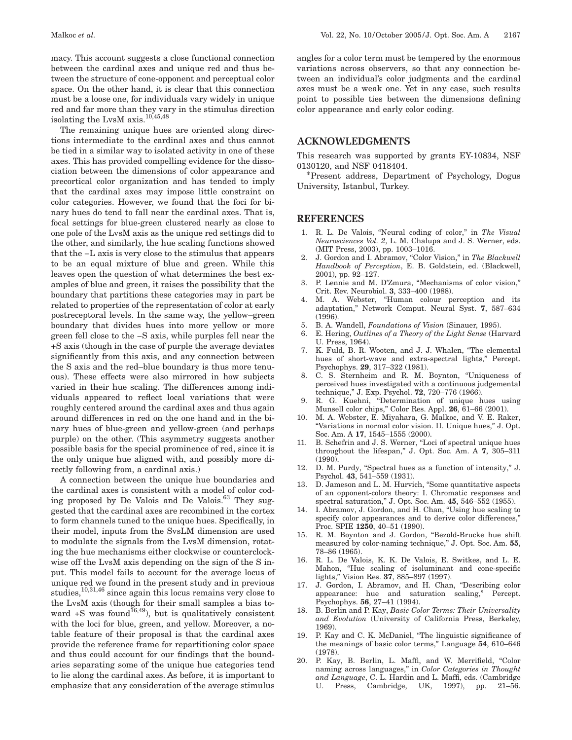macy. This account suggests a close functional connection between the cardinal axes and unique red and thus between the structure of cone-opponent and perceptual color space. On the other hand, it is clear that this connection must be a loose one, for individuals vary widely in unique red and far more than they vary in the stimulus direction isolating the LvsM axis.10,45,48

The remaining unique hues are oriented along directions intermediate to the cardinal axes and thus cannot be tied in a similar way to isolated activity in one of these axes. This has provided compelling evidence for the dissociation between the dimensions of color appearance and precortical color organization and has tended to imply that the cardinal axes may impose little constraint on color categories. However, we found that the foci for binary hues do tend to fall near the cardinal axes. That is, focal settings for blue-green clustered nearly as close to one pole of the LvsM axis as the unique red settings did to the other, and similarly, the hue scaling functions showed that the −L axis is very close to the stimulus that appears to be an equal mixture of blue and green. While this leaves open the question of what determines the best examples of blue and green, it raises the possibility that the boundary that partitions these categories may in part be related to properties of the representation of color at early postreceptoral levels. In the same way, the yellow–green boundary that divides hues into more yellow or more green fell close to the −S axis, while purples fell near the +S axis (though in the case of purple the average deviates significantly from this axis, and any connection between the S axis and the red–blue boundary is thus more tenuous). These effects were also mirrored in how subjects varied in their hue scaling. The differences among individuals appeared to reflect local variations that were roughly centered around the cardinal axes and thus again around differences in red on the one hand and in the binary hues of blue-green and yellow-green (and perhaps purple) on the other. (This asymmetry suggests another possible basis for the special prominence of red, since it is the only unique hue aligned with, and possibly more directly following from, a cardinal axis.)

A connection between the unique hue boundaries and the cardinal axes is consistent with a model of color coding proposed by De Valois and De Valois.<sup>63</sup> They suggested that the cardinal axes are recombined in the cortex to form channels tuned to the unique hues. Specifically, in their model, inputs from the SvsLM dimension are used to modulate the signals from the LvsM dimension, rotating the hue mechanisms either clockwise or counterclockwise off the LvsM axis depending on the sign of the S input. This model fails to account for the average locus of unique red we found in the present study and in previous studies,  $10,31,46$  since again this locus remains very close to the LvsM axis (though for their small samples a bias toward  $+$ S was found<sup>16,49</sup>), but is qualitatively consistent with the loci for blue, green, and yellow. Moreover, a notable feature of their proposal is that the cardinal axes provide the reference frame for repartitioning color space and thus could account for our findings that the boundaries separating some of the unique hue categories tend to lie along the cardinal axes. As before, it is important to emphasize that any consideration of the average stimulus

angles for a color term must be tempered by the enormous variations across observers, so that any connection between an individual's color judgments and the cardinal axes must be a weak one. Yet in any case, such results point to possible ties between the dimensions defining color appearance and early color coding.

## **ACKNOWLEDGMENTS**

This research was supported by grants EY-10834, NSF 0130120, and NSF 0418404.

\*Present address, Department of Psychology, Dogus University, Istanbul, Turkey.

## **REFERENCES**

- 1. R. L. De Valois, "Neural coding of color," in *The Visual Neurosciences Vol. 2*, L. M. Chalupa and J. S. Werner, eds. (MIT Press, 2003), pp. 1003–1016.
- 2. J. Gordon and I. Abramov, "Color Vision," in *The Blackwell Handbook of Perception*, E. B. Goldstein, ed. (Blackwell, 2001), pp. 92–127.
- 3. P. Lennie and M. D'Zmura, "Mechanisms of color vision," Crit. Rev. Neurobiol. **3**, 333–400 (1988).
- 4. M. A. Webster, "Human colour perception and its adaptation," Network Comput. Neural Syst. **7**, 587–634  $(1996)$
- 5. B. A. Wandell, *Foundations of Vision* (Sinauer, 1995).
- 6. E. Hering, *Outlines of a Theory of the Light Sense* (Harvard U. Press, 1964).
- 7. K. Fuld, B. R. Wooten, and J. J. Whalen, "The elemental hues of short-wave and extra-spectral lights," Percept. Psychophys. **29**, 317–322 (1981).
- 8. C. S. Sternheim and R. M. Boynton, "Uniqueness of perceived hues investigated with a continuous judgemental technique," J. Exp. Psychol. **72**, 720–776 (1966).
- 9. R. G. Kuehni, "Determination of unique hues using Munsell color chips," Color Res. Appl. **26**, 61–66 (2001).
- 10. M. A. Webster, E. Miyahara, G. Malkoc, and V. E. Raker, "Variations in normal color vision. II. Unique hues," J. Opt. Soc. Am. A **17**, 1545–1555 (2000).
- 11. B. Schefrin and J. S. Werner, "Loci of spectral unique hues throughout the lifespan," J. Opt. Soc. Am. A **7**, 305–311 (1990).
- 12. D. M. Purdy, "Spectral hues as a function of intensity," J. Psychol. **43**, 541–559 (1931).
- 13. D. Jameson and L. M. Hurvich, "Some quantitative aspects of an opponent-colors theory: I. Chromatic responses and spectral saturation," J. Opt. Soc. Am. **45**, 546–552 (1955).
- 14. I. Abramov, J. Gordon, and H. Chan, "Using hue scaling to specify color appearances and to derive color differences,' Proc. SPIE **1250**, 40–51 (1990).
- 15. R. M. Boynton and J. Gordon, "Bezold-Brucke hue shift measured by color-naming technique," J. Opt. Soc. Am. **55**, 78–86 (1965).
- 16. R. L. De Valois, K. K. De Valois, E. Switkes, and L. E. Mahon, "Hue scaling of isoluminant and cone-specific lights," Vision Res. **37**, 885–897 (1997).
- 17. J. Gordon, I. Abramov, and H. Chan, "Describing color appearance: hue and saturation scaling," Percept. Psychophys. **56**, 27–41 (1994).
- 18. B. Berlin and P. Kay, *Basic Color Terms: Their Universality and Evolution* (University of California Press, Berkeley, 1969).
- 19. P. Kay and C. K. McDaniel, "The linguistic significance of the meanings of basic color terms," Language **54**, 610–646 (1978).
- 20. P. Kay, B. Berlin, L. Maffi, and W. Merrifield, "Color naming across languages," in *Color Categories in Thought and Language*, C. L. Hardin and L. Maffi, eds. (Cambridge U. Press, Cambridge, UK, 1997), pp. 21–56.